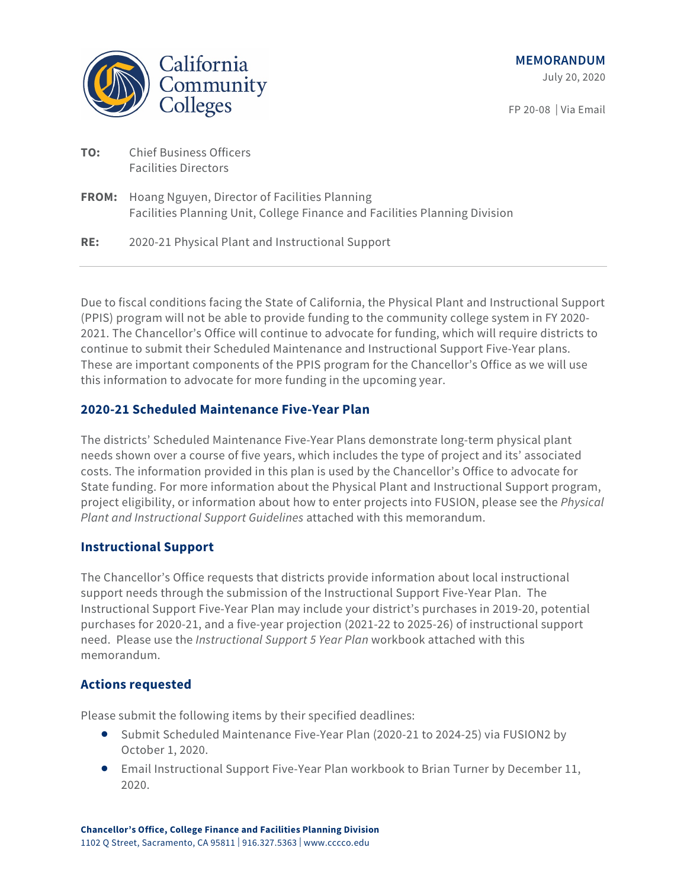

July 20, 2020

FP 20-08 | Via Email

| TO: | <b>Chief Business Officers</b> |
|-----|--------------------------------|
|     | <b>Facilities Directors</b>    |

**FROM:** Hoang Nguyen, Director of Facilities Planning Facilities Planning Unit, College Finance and Facilities Planning Division

**RE:** 2020-21 Physical Plant and Instructional Support

Due to fiscal conditions facing the State of California, the Physical Plant and Instructional Support (PPIS) program will not be able to provide funding to the community college system in FY 2020- 2021. The Chancellor's Office will continue to advocate for funding, which will require districts to continue to submit their Scheduled Maintenance and Instructional Support Five-Year plans. These are important components of the PPIS program for the Chancellor's Office as we will use this information to advocate for more funding in the upcoming year.

## **2020-21 Scheduled Maintenance Five-Year Plan**

The districts' Scheduled Maintenance Five-Year Plans demonstrate long-term physical plant needs shown over a course of five years, which includes the type of project and its' associated costs. The information provided in this plan is used by the Chancellor's Office to advocate for State funding. For more information about the Physical Plant and Instructional Support program, project eligibility, or information about how to enter projects into FUSION, please see the *Physical Plant and Instructional Support Guidelines* attached with this memorandum.

## **Instructional Support**

The Chancellor's Office requests that districts provide information about local instructional support needs through the submission of the Instructional Support Five-Year Plan. The Instructional Support Five-Year Plan may include your district's purchases in 2019-20, potential purchases for 2020-21, and a five-year projection (2021-22 to 2025-26) of instructional support need. Please use the *Instructional Support 5 Year Plan* workbook attached with this memorandum.

## **Actions requested**

Please submit the following items by their specified deadlines:

- Submit Scheduled Maintenance Five-Year Plan (2020-21 to 2024-25) via FUSION2 by October 1, 2020.
- Email Instructional Support Five-Year Plan workbook to Brian Turner by December 11, 2020.